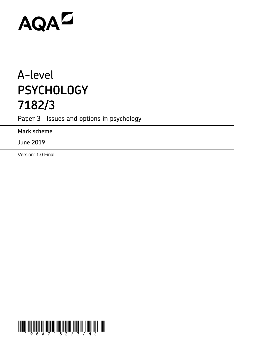# AQAZ

# A-level **PSYCHOLOGY 7182/3**

Paper 3 Issues and options in psychology

**Mark scheme**

June 2019

Version: 1.0 Final

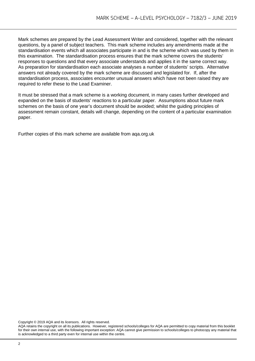Mark schemes are prepared by the Lead Assessment Writer and considered, together with the relevant questions, by a panel of subject teachers. This mark scheme includes any amendments made at the standardisation events which all associates participate in and is the scheme which was used by them in this examination. The standardisation process ensures that the mark scheme covers the students' responses to questions and that every associate understands and applies it in the same correct way. As preparation for standardisation each associate analyses a number of students' scripts. Alternative answers not already covered by the mark scheme are discussed and legislated for. If, after the standardisation process, associates encounter unusual answers which have not been raised they are required to refer these to the Lead Examiner.

It must be stressed that a mark scheme is a working document, in many cases further developed and expanded on the basis of students' reactions to a particular paper. Assumptions about future mark schemes on the basis of one year's document should be avoided; whilst the guiding principles of assessment remain constant, details will change, depending on the content of a particular examination paper.

Further copies of this mark scheme are available from aqa.org.uk

Copyright © 2019 AQA and its licensors. All rights reserved.

AQA retains the copyright on all its publications. However, registered schools/colleges for AQA are permitted to copy material from this booklet for their own internal use, with the following important exception: AQA cannot give permission to schools/colleges to photocopy any material that is acknowledged to a third party even for internal use within the centre.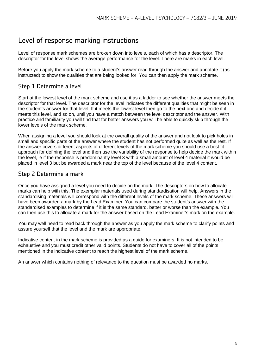### Level of response marking instructions

Level of response mark schemes are broken down into levels, each of which has a descriptor. The descriptor for the level shows the average performance for the level. There are marks in each level.

Before you apply the mark scheme to a student's answer read through the answer and annotate it (as instructed) to show the qualities that are being looked for. You can then apply the mark scheme.

#### Step 1 Determine a level

Start at the lowest level of the mark scheme and use it as a ladder to see whether the answer meets the descriptor for that level. The descriptor for the level indicates the different qualities that might be seen in the student's answer for that level. If it meets the lowest level then go to the next one and decide if it meets this level, and so on, until you have a match between the level descriptor and the answer. With practice and familiarity you will find that for better answers you will be able to quickly skip through the lower levels of the mark scheme.

When assigning a level you should look at the overall quality of the answer and not look to pick holes in small and specific parts of the answer where the student has not performed quite as well as the rest. If the answer covers different aspects of different levels of the mark scheme you should use a best fit approach for defining the level and then use the variability of the response to help decide the mark within the level, ie if the response is predominantly level 3 with a small amount of level 4 material it would be placed in level 3 but be awarded a mark near the top of the level because of the level 4 content.

#### Step 2 Determine a mark

Once you have assigned a level you need to decide on the mark. The descriptors on how to allocate marks can help with this. The exemplar materials used during standardisation will help. Answers in the standardising materials will correspond with the different levels of the mark scheme. These answers will have been awarded a mark by the Lead Examiner. You can compare the student's answer with the standardised examples to determine if it is the same standard, better or worse than the example. You can then use this to allocate a mark for the answer based on the Lead Examiner's mark on the example.

You may well need to read back through the answer as you apply the mark scheme to clarify points and assure yourself that the level and the mark are appropriate.

Indicative content in the mark scheme is provided as a guide for examiners. It is not intended to be exhaustive and you must credit other valid points. Students do not have to cover all of the points mentioned in the indicative content to reach the highest level of the mark scheme.

An answer which contains nothing of relevance to the question must be awarded no marks.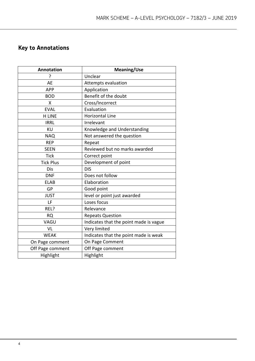## **Key to Annotations**

| <b>Annotation</b> | <b>Meaning/Use</b>                     |
|-------------------|----------------------------------------|
| 5.                | Unclear                                |
| AE                | Attempts evaluation                    |
| APP               | Application                            |
| <b>BOD</b>        | Benefit of the doubt                   |
| X                 | Cross/Incorrect                        |
| <b>EVAL</b>       | Evaluation                             |
| <b>H LINE</b>     | <b>Horizontal Line</b>                 |
| <b>IRRL</b>       | Irrelevant                             |
| KU                | Knowledge and Understanding            |
| <b>NAQ</b>        | Not answered the question              |
| <b>REP</b>        | Repeat                                 |
| <b>SEEN</b>       | Reviewed but no marks awarded          |
| <b>Tick</b>       | Correct point                          |
| <b>Tick Plus</b>  | Development of point                   |
| Dis               | <b>DIS</b>                             |
| <b>DNF</b>        | Does not follow                        |
| <b>ELAB</b>       | Elaboration                            |
| GP                | Good point                             |
| <b>JUST</b>       | level or point just awarded            |
| LF                | Loses focus                            |
| REL?              | Relevance                              |
| <b>RQ</b>         | <b>Repeats Question</b>                |
| VAGU              | Indicates that the point made is vague |
| VL                | Very limited                           |
| <b>WEAK</b>       | Indicates that the point made is weak  |
| On Page comment   | On Page Comment                        |
| Off Page comment  | Off Page comment                       |
| Highlight         | Highlight                              |
|                   |                                        |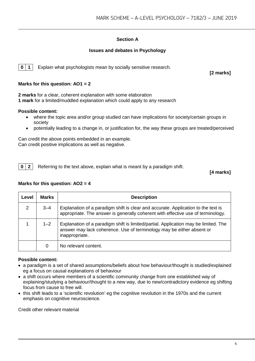#### **Section A**

#### **Issues and debates in Psychology**

**0** | **1** | Explain what psychologists mean by socially sensitive research.

#### **Marks for this question: AO1 = 2**

**2 marks** for a clear, coherent explanation with some elaboration **1 mark** for a limited/muddled explanation which could apply to any research

#### **Possible content:**

- where the topic area and/or group studied can have implications for society/certain groups in society
- potentially leading to a change in, or justification for, the way these groups are treated/perceived

Can credit the above points embedded in an example. Can credit positive implications as well as negative.

**0 2** Referring to the text above, explain what is meant by a paradigm shift.

**[4 marks]**

**[2 marks]**

#### **Marks for this question: AO2 = 4**

| Level          | <b>Marks</b> | <b>Description</b>                                                                                                                                                             |
|----------------|--------------|--------------------------------------------------------------------------------------------------------------------------------------------------------------------------------|
| $\overline{2}$ | $3 - 4$      | Explanation of a paradigm shift is clear and accurate. Application to the text is<br>appropriate. The answer is generally coherent with effective use of terminology.          |
|                | $1 - 2$      | Explanation of a paradigm shift is limited/partial. Application may be limited. The<br>answer may lack coherence. Use of terminology may be either absent or<br>inappropriate. |
|                | 0            | No relevant content.                                                                                                                                                           |

#### **Possible content:**

- a paradigm is a set of shared assumptions/beliefs about how behaviour/thought is studied/explained eg a focus on causal explanations of behaviour
- a shift occurs where members of a scientific community change from one established way of explaining/studying a behaviour/thought to a new way, due to new/contradictory evidence eg shifting focus from cause to free will.
- this shift leads to a 'scientific revolution' eg the cognitive revolution in the 1970s and the current emphasis on cognitive neuroscience.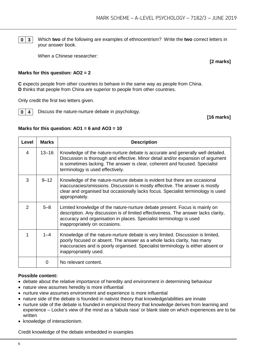**0 3** Which **two** of the following are examples of ethnocentrism? Write the **two** correct letters in your answer book.

When a Chinese researcher:

**[2 marks]**

#### **Marks for this question: AO2 = 2**

**C** expects people from other countries to behave in the same way as people from China. **D** thinks that people from China are superior to people from other countries.

Only credit the first two letters given.

**0 4** Discuss the nature-nurture debate in psychology.

**[16 marks]**

#### **Marks for this question: AO1 = 6 and AO3 = 10**

| Level         | <b>Marks</b> | <b>Description</b>                                                                                                                                                                                                                                                                    |
|---------------|--------------|---------------------------------------------------------------------------------------------------------------------------------------------------------------------------------------------------------------------------------------------------------------------------------------|
| 4             | $13 - 16$    | Knowledge of the nature-nurture debate is accurate and generally well detailed.<br>Discussion is thorough and effective. Minor detail and/or expansion of argument<br>is sometimes lacking. The answer is clear, coherent and focused. Specialist<br>terminology is used effectively. |
| 3             | $9 - 12$     | Knowledge of the nature-nurture debate is evident but there are occasional<br>inaccuracies/omissions. Discussion is mostly effective. The answer is mostly<br>clear and organised but occasionally lacks focus. Specialist terminology is used<br>appropriately.                      |
| $\mathcal{P}$ | $5 - 8$      | Limited knowledge of the nature-nurture debate present. Focus is mainly on<br>description. Any discussion is of limited effectiveness. The answer lacks clarity,<br>accuracy and organisation in places. Specialist terminology is used<br>inappropriately on occasions.              |
|               | $1 - 4$      | Knowledge of the nature-nurture debate is very limited. Discussion is limited,<br>poorly focused or absent. The answer as a whole lacks clarity, has many<br>inaccuracies and is poorly organised. Specialist terminology is either absent or<br>inappropriately used.                |
|               | 0            | No relevant content.                                                                                                                                                                                                                                                                  |

#### **Possible content:**

- debate about the relative importance of heredity and environment in determining behaviour
- nature view assumes heredity is more influential
- nurture view assumes environment and experience is more influential
- nature side of the debate is founded in nativist theory that knowledge/abilities are innate
- nurture side of the debate is founded in empiricist theory that knowledge derives from learning and experience – Locke's view of the mind as a 'tabula rasa' or blank slate on which experiences are to be written
- knowledge of interactionism.

Credit knowledge of the debate embedded in examples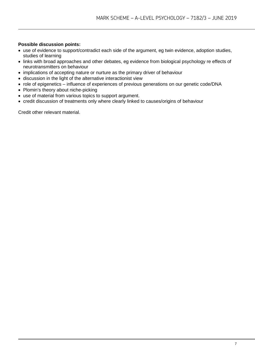#### **Possible discussion points:**

- use of evidence to support/contradict each side of the argument, eg twin evidence, adoption studies, studies of learning
- links with broad approaches and other debates, eg evidence from biological psychology re effects of neurotransmitters on behaviour
- implications of accepting nature or nurture as the primary driver of behaviour
- discussion in the light of the alternative interactionist view
- role of epigenetics influence of experiences of previous generations on our genetic code/DNA
- Plomin's theory about niche-picking
- use of material from various topics to support argument.
- credit discussion of treatments only where clearly linked to causes/origins of behaviour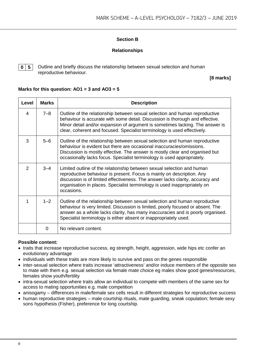#### **Section B**

#### **Relationships**

**0 5** Outline and briefly discuss the relationship between sexual selection and human reproductive behaviour.

**[8 marks]**

#### **Marks for this question: AO1 = 3 and AO3 = 5**

| Level          | <b>Marks</b> | <b>Description</b>                                                                                                                                                                                                                                                                                                            |
|----------------|--------------|-------------------------------------------------------------------------------------------------------------------------------------------------------------------------------------------------------------------------------------------------------------------------------------------------------------------------------|
| 4              | $7 - 8$      | Outline of the relationship between sexual selection and human reproductive<br>behaviour is accurate with some detail. Discussion is thorough and effective.<br>Minor detail and/or expansion of argument is sometimes lacking. The answer is<br>clear, coherent and focused. Specialist terminology is used effectively.     |
| 3              | $5 - 6$      | Outline of the relationship between sexual selection and human reproductive<br>behaviour is evident but there are occasional inaccuracies/omissions.<br>Discussion is mostly effective. The answer is mostly clear and organised but<br>occasionally lacks focus. Specialist terminology is used appropriately.               |
| $\overline{2}$ | $3 - 4$      | Limited outline of the relationship between sexual selection and human<br>reproductive behaviour is present. Focus is mainly on description. Any<br>discussion is of limited effectiveness. The answer lacks clarity, accuracy and<br>organisation in places. Specialist terminology is used inappropriately on<br>occasions. |
| 1              | $1 - 2$      | Outline of the relationship between sexual selection and human reproductive<br>behaviour is very limited. Discussion is limited, poorly focused or absent. The<br>answer as a whole lacks clarity, has many inaccuracies and is poorly organised.<br>Specialist terminology is either absent or inappropriately used.         |
|                | 0            | No relevant content.                                                                                                                                                                                                                                                                                                          |

#### **Possible content:**

- traits that increase reproductive success, eg strength, height, aggression, wide hips etc confer an evolutionary advantage
- individuals with these traits are more likely to survive and pass on the genes responsible
- inter-sexual selection where traits increase 'attractiveness' and/or induce members of the opposite sex to mate with them e.g. sexual selection via female mate choice eg males show good genes/resources, females show youth/fertility
- intra-sexual selection where traits allow an individual to compete with members of the same sex for access to mating opportunities e.g. male competition
- anisogamy differences in male/female sex cells result in different strategies for reproductive success
- human reproductive strategies male courtship rituals, mate guarding, sneak copulation; female sexy sons hypothesis (Fisher), preference for long courtship.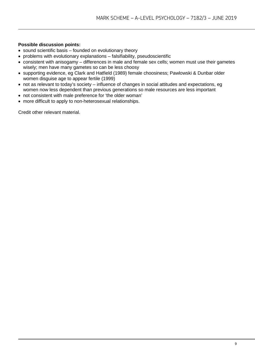#### **Possible discussion points:**

- sound scientific basis founded on evolutionary theory
- problems with evolutionary explanations falsifiability, pseudoscientific
- consistent with anisogamy differences in male and female sex cells; women must use their gametes wisely; men have many gametes so can be less choosy
- supporting evidence, eg Clark and Hatfield (1989) female choosiness; Pawlowski & Dunbar older women disguise age to appear fertile (1999)
- not as relevant to today's society influence of changes in social attitudes and expectations, eg women now less dependent than previous generations so male resources are less important
- not consistent with male preference for 'the older woman'
- more difficult to apply to non-heterosexual relationships.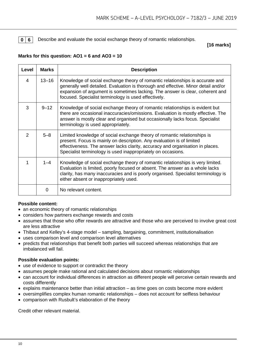**0 6** Describe and evaluate the social exchange theory of romantic relationships.

**[16 marks]**

#### **Marks for this question: AO1 = 6 and AO3 = 10**

| Level          | <b>Marks</b> | <b>Description</b>                                                                                                                                                                                                                                                                                           |
|----------------|--------------|--------------------------------------------------------------------------------------------------------------------------------------------------------------------------------------------------------------------------------------------------------------------------------------------------------------|
| 4              | $13 - 16$    | Knowledge of social exchange theory of romantic relationships is accurate and<br>generally well detailed. Evaluation is thorough and effective. Minor detail and/or<br>expansion of argument is sometimes lacking. The answer is clear, coherent and<br>focused. Specialist terminology is used effectively. |
| 3              | $9 - 12$     | Knowledge of social exchange theory of romantic relationships is evident but<br>there are occasional inaccuracies/omissions. Evaluation is mostly effective. The<br>answer is mostly clear and organised but occasionally lacks focus. Specialist<br>terminology is used appropriately.                      |
| $\overline{2}$ | $5 - 8$      | Limited knowledge of social exchange theory of romantic relationships is<br>present. Focus is mainly on description. Any evaluation is of limited<br>effectiveness. The answer lacks clarity, accuracy and organisation in places.<br>Specialist terminology is used inappropriately on occasions.           |
| 1              | $1 - 4$      | Knowledge of social exchange theory of romantic relationships is very limited.<br>Evaluation is limited, poorly focused or absent. The answer as a whole lacks<br>clarity, has many inaccuracies and is poorly organised. Specialist terminology is<br>either absent or inappropriately used.                |
|                | 0            | No relevant content.                                                                                                                                                                                                                                                                                         |

#### **Possible content:**

- an economic theory of romantic relationships
- considers how partners exchange rewards and costs
- assumes that those who offer rewards are attractive and those who are perceived to involve great cost are less attractive
- Thibaut and Kelley's 4-stage model sampling, bargaining, commitment, institutionalisation
- uses comparison level and comparison level alternatives
- predicts that relationships that benefit both parties will succeed whereas relationships that are imbalanced will fail.

#### **Possible evaluation points:**

- use of evidence to support or contradict the theory
- assumes people make rational and calculated decisions about romantic relationships
- can account for individual differences in attraction as different people will perceive certain rewards and costs differently
- explains maintenance better than initial attraction as time goes on costs become more evident
- oversimplifies complex human romantic relationships does not account for selfless behaviour
- comparison with Rusbult's elaboration of the theory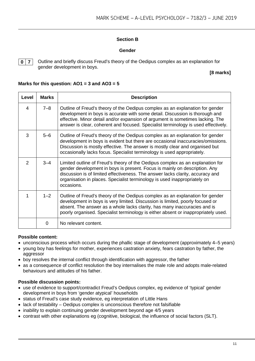#### **Section B**

#### **Gender**

**0 7** Outline and briefly discuss Freud's theory of the Oedipus complex as an explanation for gender development in boys.

**[8 marks]**

#### **Marks for this question: AO1 = 3 and AO3 = 5**

| Level         | <b>Marks</b> | <b>Description</b>                                                                                                                                                                                                                                                                                                                        |
|---------------|--------------|-------------------------------------------------------------------------------------------------------------------------------------------------------------------------------------------------------------------------------------------------------------------------------------------------------------------------------------------|
| 4             | $7 - 8$      | Outline of Freud's theory of the Oedipus complex as an explanation for gender<br>development in boys is accurate with some detail. Discussion is thorough and<br>effective. Minor detail and/or expansion of argument is sometimes lacking. The<br>answer is clear, coherent and focused. Specialist terminology is used effectively.     |
| 3             | $5-6$        | Outline of Freud's theory of the Oedipus complex as an explanation for gender<br>development in boys is evident but there are occasional inaccuracies/omissions.<br>Discussion is mostly effective. The answer is mostly clear and organised but<br>occasionally lacks focus. Specialist terminology is used appropriately.               |
| $\mathcal{P}$ | $3 - 4$      | Limited outline of Freud's theory of the Oedipus complex as an explanation for<br>gender development in boys is present. Focus is mainly on description. Any<br>discussion is of limited effectiveness. The answer lacks clarity, accuracy and<br>organisation in places. Specialist terminology is used inappropriately on<br>occasions. |
| 1             | $1 - 2$      | Outline of Freud's theory of the Oedipus complex as an explanation for gender<br>development in boys is very limited. Discussion is limited, poorly focused or<br>absent. The answer as a whole lacks clarity, has many inaccuracies and is<br>poorly organised. Specialist terminology is either absent or inappropriately used.         |
|               | 0            | No relevant content.                                                                                                                                                                                                                                                                                                                      |

#### **Possible content:**

- unconscious process which occurs during the phallic stage of development (approximately 4–5 years)
- young boy has feelings for mother, experiences castration anxiety, fears castration by father, the aggressor
- boy resolves the internal conflict through identification with aggressor, the father
- as a consequence of conflict resolution the boy internalises the male role and adopts male-related behaviours and attitudes of his father.

#### **Possible discussion points:**

- use of evidence to support/contradict Freud's Oedipus complex, eg evidence of 'typical' gender development in boys from 'gender atypical' households
- status of Freud's case study evidence, eg interpretation of Little Hans
- lack of testability Oedipus complex is unconscious therefore not falsifiable
- inability to explain continuing gender development beyond age 4/5 years
- contrast with other explanations eg (cognitive, biological, the influence of social factors (SLT).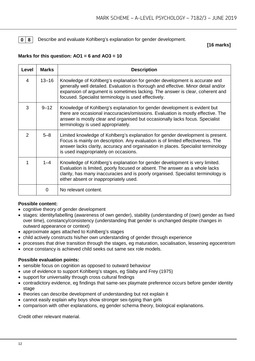#### **0** 8 Describe and evaluate Kohlberg's explanation for gender development.

**[16 marks]**

#### **Marks for this question: AO1 = 6 and AO3 = 10**

| Level         | <b>Marks</b> | <b>Description</b>                                                                                                                                                                                                                                                                                        |
|---------------|--------------|-----------------------------------------------------------------------------------------------------------------------------------------------------------------------------------------------------------------------------------------------------------------------------------------------------------|
| 4             | $13 - 16$    | Knowledge of Kohlberg's explanation for gender development is accurate and<br>generally well detailed. Evaluation is thorough and effective. Minor detail and/or<br>expansion of argument is sometimes lacking. The answer is clear, coherent and<br>focused. Specialist terminology is used effectively. |
| 3             | $9 - 12$     | Knowledge of Kohlberg's explanation for gender development is evident but<br>there are occasional inaccuracies/omissions. Evaluation is mostly effective. The<br>answer is mostly clear and organised but occasionally lacks focus. Specialist<br>terminology is used appropriately.                      |
| $\mathcal{P}$ | $5 - 8$      | Limited knowledge of Kohlberg's explanation for gender development is present.<br>Focus is mainly on description. Any evaluation is of limited effectiveness. The<br>answer lacks clarity, accuracy and organisation in places. Specialist terminology<br>is used inappropriately on occasions.           |
| 1             | $1 - 4$      | Knowledge of Kohlberg's explanation for gender development is very limited.<br>Evaluation is limited, poorly focused or absent. The answer as a whole lacks<br>clarity, has many inaccuracies and is poorly organised. Specialist terminology is<br>either absent or inappropriately used.                |
|               | 0            | No relevant content.                                                                                                                                                                                                                                                                                      |

#### **Possible content:**

- cognitive theory of gender development
- stages: identity/labelling (awareness of own gender), stability (understanding of (own) gender as fixed over time), constancy/consistency (understanding that gender is unchanged despite changes in outward appearance or context)
- approximate ages attached to Kohlberg's stages
- child actively constructs his/her own understanding of gender through experience
- processes that drive transition through the stages, eg maturation, socialisation, lessening egocentrism
- once constancy is achieved child seeks out same sex role models.

#### **Possible evaluation points:**

- sensible focus on cognition as opposed to outward behaviour
- use of evidence to support Kohlberg's stages, eg Slaby and Frey (1975)
- support for universality through cross cultural findings
- contradictory evidence, eg findings that same-sex playmate preference occurs before gender identity stage
- theories can describe development of understanding but not explain it
- cannot easily explain why boys show stronger sex-typing than girls
- comparison with other explanations, eg gender schema theory, biological explanations.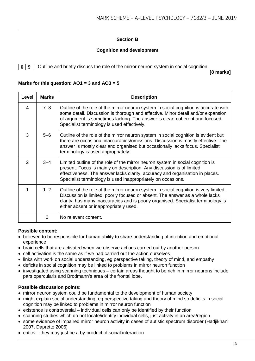#### **Section B**

#### **Cognition and development**

**0 9** Outline and briefly discuss the role of the mirror neuron system in social cognition.

**[8 marks]**

#### **Marks for this question: AO1 = 3 and AO3 = 5**

| Level          | <b>Marks</b> | <b>Description</b>                                                                                                                                                                                                                                                                                       |
|----------------|--------------|----------------------------------------------------------------------------------------------------------------------------------------------------------------------------------------------------------------------------------------------------------------------------------------------------------|
| $\overline{4}$ | $7 - 8$      | Outline of the role of the mirror neuron system in social cognition is accurate with<br>some detail. Discussion is thorough and effective. Minor detail and/or expansion<br>of argument is sometimes lacking. The answer is clear, coherent and focused.<br>Specialist terminology is used effectively.  |
| 3              | $5 - 6$      | Outline of the role of the mirror neuron system in social cognition is evident but<br>there are occasional inaccuracies/omissions. Discussion is mostly effective. The<br>answer is mostly clear and organised but occasionally lacks focus. Specialist<br>terminology is used appropriately.            |
| $\overline{2}$ | $3 - 4$      | Limited outline of the role of the mirror neuron system in social cognition is<br>present. Focus is mainly on description. Any discussion is of limited<br>effectiveness. The answer lacks clarity, accuracy and organisation in places.<br>Specialist terminology is used inappropriately on occasions. |
| 1              | $1 - 2$      | Outline of the role of the mirror neuron system in social cognition is very limited.<br>Discussion is limited, poorly focused or absent. The answer as a whole lacks<br>clarity, has many inaccuracies and is poorly organised. Specialist terminology is<br>either absent or inappropriately used.      |
|                | 0            | No relevant content.                                                                                                                                                                                                                                                                                     |

#### **Possible content:**

- believed to be responsible for human ability to share understanding of intention and emotional experience
- brain cells that are activated when we observe actions carried out by another person
- cell activation is the same as if we had carried out the action ourselves
- links with work on social understanding, eg perspective taking, theory of mind, and empathy
- deficits in social cognition may be linked to problems in mirror neuron function
- investigated using scanning techniques certain areas thought to be rich in mirror neurons include pars opercularis and Brodmann's area of the frontal lobe.

#### **Possible discussion points:**

- mirror neuron system could be fundamental to the development of human society
- might explain social understanding, eg perspective taking and theory of mind so deficits in social cognition may be linked to problems in mirror neuron function
- existence is controversial individual cells can only be identified by their function
- scanning studies which do not locate/identify individual cells, just activity in an area/region
- some evidence of impaired mirror neuron activity in cases of autistic spectrum disorder (Hadjikhani 2007, Dapretto 2006)
- critics they may just be a by-product of social interaction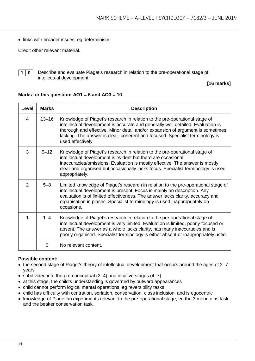• links with broader issues, eg determinism.

Credit other relevant material.



**1 0** Describe and evaluate Piaget's research in relation to the pre-operational stage of intellectual development.

#### **[16 marks]**

#### **Marks for this question: AO1 = 6 and AO3 = 10**

| Level          | <b>Marks</b> | <b>Description</b>                                                                                                                                                                                                                                                                                                                                    |
|----------------|--------------|-------------------------------------------------------------------------------------------------------------------------------------------------------------------------------------------------------------------------------------------------------------------------------------------------------------------------------------------------------|
| 4              | $13 - 16$    | Knowledge of Piaget's research in relation to the pre-operational stage of<br>intellectual development is accurate and generally well detailed. Evaluation is<br>thorough and effective. Minor detail and/or expansion of argument is sometimes<br>lacking. The answer is clear, coherent and focused. Specialist terminology is<br>used effectively. |
| 3              | $9 - 12$     | Knowledge of Piaget's research in relation to the pre-operational stage of<br>intellectual development is evident but there are occasional<br>inaccuracies/omissions. Evaluation is mostly effective. The answer is mostly<br>clear and organised but occasionally lacks focus. Specialist terminology is used<br>appropriately.                      |
| $\overline{2}$ | $5 - 8$      | Limited knowledge of Piaget's research in relation to the pre-operational stage of<br>intellectual development is present. Focus is mainly on description. Any<br>evaluation is of limited effectiveness. The answer lacks clarity, accuracy and<br>organisation in places. Specialist terminology is used inappropriately on<br>occasions.           |
| 1              | $1 - 4$      | Knowledge of Piaget's research in relation to the pre-operational stage of<br>intellectual development is very limited. Evaluation is limited, poorly focused or<br>absent. The answer as a whole lacks clarity, has many inaccuracies and is<br>poorly organised. Specialist terminology is either absent or inappropriately used.                   |
|                | 0            | No relevant content.                                                                                                                                                                                                                                                                                                                                  |

#### **Possible content:**

- the second stage of Piaget's theory of intellectual development that occurs around the ages of 2–7 years
- subdivided into the pre-conceptual (2–4) and intuitive stages (4–7)
- at this stage, the child's understanding is governed by outward appearances
- child cannot perform logical mental operations, eg reversibility tasks
- child has difficulty with centration, seriation, conservation, class inclusion, and is egocentric
- knowledge of Piagetian experiments relevant to the pre-operational stage, eg the 3 mountains task and the beaker conservation task.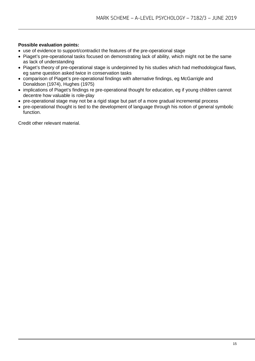#### **Possible evaluation points:**

- use of evidence to support/contradict the features of the pre-operational stage
- Piaget's pre-operational tasks focused on demonstrating lack of ability, which might not be the same as lack of understanding
- Piaget's theory of pre-operational stage is underpinned by his studies which had methodological flaws, eg same question asked twice in conservation tasks
- comparison of Piaget's pre-operational findings with alternative findings, eg McGarrigle and Donaldson (1974), Hughes (1975)
- implications of Piaget's findings re pre-operational thought for education, eg if young children cannot decentre how valuable is role-play
- pre-operational stage may not be a rigid stage but part of a more gradual incremental process
- pre-operational thought is tied to the development of language through his notion of general symbolic function.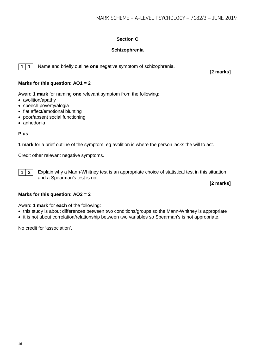#### **Section C**

#### **Schizophrenia**

**1 1** Name and briefly outline **one** negative symptom of schizophrenia.

**[2 marks]**

#### **Marks for this question: AO1 = 2**

Award **1 mark** for naming **one** relevant symptom from the following:

- avolition/apathy
- speech poverty/alogia
- flat affect/emotional blunting
- poor/absent social functioning
- anhedonia .

#### **Plus**

**1 mark** for a brief outline of the symptom, eg avolition is where the person lacks the will to act.

Credit other relevant negative symptoms.



**1 2** Explain why a Mann-Whitney test is an appropriate choice of statistical test in this situation and a Spearman's test is not.

**[2 marks]**

#### **Marks for this question: AO2 = 2**

Award **1 mark** for **each** of the following:

- this study is about differences between two conditions/groups so the Mann-Whitney is appropriate
- it is not about correlation/relationship between two variables so Spearman's is not appropriate.

No credit for 'association'.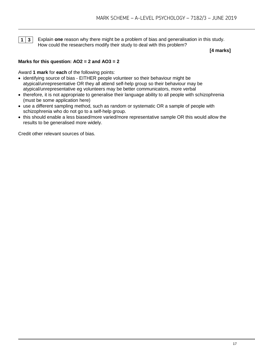

**1 3** Explain **one** reason why there might be a problem of bias and generalisation in this study. How could the researchers modify their study to deal with this problem?

**[4 marks]**

#### **Marks for this question: AO2 = 2 and AO3 = 2**

Award **1 mark** for **each** of the following points:

- identifying source of bias EITHER people volunteer so their behaviour might be atypical/unrepresentative OR they all attend self-help group so their behaviour may be atypical/unrepresentative eg volunteers may be better communicators, more verbal
- therefore, it is not appropriate to generalise their language ability to all people with schizophrenia (must be some application here)
- use a different sampling method, such as random or systematic OR a sample of people with schizophrenia who do not go to a self-help group.
- this should enable a less biased/more varied/more representative sample OR this would allow the results to be generalised more widely.

Credit other relevant sources of bias.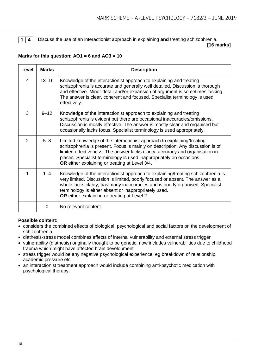

**1 4** Discuss the use of an interactionist approach in explaining **and** treating schizophrenia.

**[16 marks]**

#### **Marks for this question: AO1 = 6 and AO3 = 10**

| Level          | <b>Marks</b> | <b>Description</b>                                                                                                                                                                                                                                                                                                                                                   |
|----------------|--------------|----------------------------------------------------------------------------------------------------------------------------------------------------------------------------------------------------------------------------------------------------------------------------------------------------------------------------------------------------------------------|
| 4              | $13 - 16$    | Knowledge of the interactionist approach to explaining and treating<br>schizophrenia is accurate and generally well detailed. Discussion is thorough<br>and effective. Minor detail and/or expansion of argument is sometimes lacking.<br>The answer is clear, coherent and focused. Specialist terminology is used<br>effectively.                                  |
| 3              | $9 - 12$     | Knowledge of the interactionist approach to explaining and treating<br>schizophrenia is evident but there are occasional inaccuracies/omissions.<br>Discussion is mostly effective. The answer is mostly clear and organised but<br>occasionally lacks focus. Specialist terminology is used appropriately.                                                          |
| $\overline{2}$ | $5 - 8$      | Limited knowledge of the interactionist approach to explaining/treating<br>schizophrenia is present. Focus is mainly on description. Any discussion is of<br>limited effectiveness. The answer lacks clarity, accuracy and organisation in<br>places. Specialist terminology is used inappropriately on occasions.<br>OR either explaining or treating at Level 3/4. |
| 1              | $1 - 4$      | Knowledge of the interactionist approach to explaining/treating schizophrenia is<br>very limited. Discussion is limited, poorly focused or absent. The answer as a<br>whole lacks clarity, has many inaccuracies and is poorly organised. Specialist<br>terminology is either absent or inappropriately used.<br>OR either explaining or treating at Level 2.        |
|                | 0            | No relevant content.                                                                                                                                                                                                                                                                                                                                                 |

#### **Possible content:**

- considers the combined effects of biological, psychological and social factors on the development of schizophrenia
- diathesis-stress model combines effects of internal vulnerability and external stress trigger
- vulnerability (diathesis) originally thought to be genetic, now includes vulnerabilities due to childhood trauma which might have affected brain development
- stress trigger would be any negative psychological experience, eg breakdown of relationship, academic pressure etc
- an interactionist treatment approach would include combining anti-psychotic medication with psychological therapy.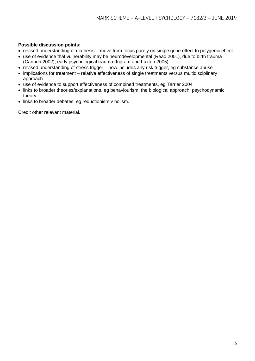#### **Possible discussion points:**

- revised understanding of diathesis move from focus purely on single gene effect to polygenic effect
- use of evidence that vulnerability may be neurodevelopmental (Read 2001), due to birth trauma (Cannon 2002), early psychological trauma (Ingram and Luxton 2005)
- revised understanding of stress trigger now includes any risk trigger, eg substance abuse
- implications for treatment relative effectiveness of single treatments versus multidisciplinary approach
- use of evidence to support effectiveness of combined treatments, eg Tarrier 2004
- links to broader theories/explanations, eg behaviourism, the biological approach, psychodynamic theory
- links to broader debates, eg reductionism v holism.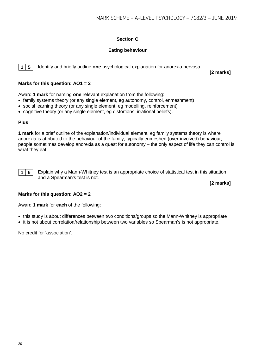#### **Section C**

#### **Eating behaviour**

**1 5** Identify and briefly outline **one** psychological explanation for anorexia nervosa.

**[2 marks]**

#### **Marks for this question: AO1 = 2**

Award **1 mark** for naming **one** relevant explanation from the following:

- family systems theory (or any single element, eg autonomy, control, enmeshment)
- social learning theory (or any single element, eg modelling, reinforcement)
- cognitive theory (or any single element, eg distortions, irrational beliefs).

#### **Plus**

**1 mark** for a brief outline of the explanation/individual element, eg family systems theory is where anorexia is attributed to the behaviour of the family, typically enmeshed (over-involved) behaviour; people sometimes develop anorexia as a quest for autonomy – the only aspect of life they can control is what they eat.

**1 6** Explain why a Mann-Whitney test is an appropriate choice of statistical test in this situation and a Spearman's test is not.

**[2 marks]**

#### **Marks for this question: AO2 = 2**

Award **1 mark** for **each** of the following:

- this study is about differences between two conditions/groups so the Mann-Whitney is appropriate
- it is not about correlation/relationship between two variables so Spearman's is not appropriate.

No credit for 'association'.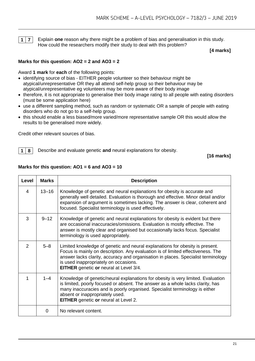

**1 7** Explain **one** reason why there might be a problem of bias and generalisation in this study. How could the researchers modify their study to deal with this problem?

**[4 marks]**

#### **Marks for this question: AO2 = 2 and AO3 = 2**

Award **1 mark** for **each** of the following points:

- identifying source of bias EITHER people volunteer so their behaviour might be atypical/unrepresentative OR they all attend self-help group so their behaviour may be atypical/unrepresentative eg volunteers may be more aware of their body image
- therefore, it is not appropriate to generalise their body image rating to all people with eating disorders (must be some application here)
- use a different sampling method, such as random or systematic OR a sample of people with eating disorders who do not go to a self-help group.
- this should enable a less biased/more varied/more representative sample OR this would allow the results to be generalised more widely.

Credit other relevant sources of bias.

**1 8** Describe and evaluate genetic **and** neural explanations for obesity.

**[16 marks]**

| <b>Level</b>   | <b>Marks</b> | <b>Description</b>                                                                                                                                                                                                                                                                                                                             |
|----------------|--------------|------------------------------------------------------------------------------------------------------------------------------------------------------------------------------------------------------------------------------------------------------------------------------------------------------------------------------------------------|
| 4              | $13 - 16$    | Knowledge of genetic and neural explanations for obesity is accurate and<br>generally well detailed. Evaluation is thorough and effective. Minor detail and/or<br>expansion of argument is sometimes lacking. The answer is clear, coherent and<br>focused. Specialist terminology is used effectively.                                        |
| 3              | $9 - 12$     | Knowledge of genetic and neural explanations for obesity is evident but there<br>are occasional inaccuracies/omissions. Evaluation is mostly effective. The<br>answer is mostly clear and organised but occasionally lacks focus. Specialist<br>terminology is used appropriately.                                                             |
| $\overline{2}$ | $5 - 8$      | Limited knowledge of genetic and neural explanations for obesity is present.<br>Focus is mainly on description. Any evaluation is of limited effectiveness. The<br>answer lacks clarity, accuracy and organisation in places. Specialist terminology<br>is used inappropriately on occasions.<br><b>EITHER</b> genetic or neural at Level 3/4. |
| 1              | $1 - 4$      | Knowledge of genetic/neural explanations for obesity is very limited. Evaluation<br>is limited, poorly focused or absent. The answer as a whole lacks clarity, has<br>many inaccuracies and is poorly organised. Specialist terminology is either<br>absent or inappropriately used.<br><b>EITHER</b> genetic or neural at Level 2.            |
|                | 0            | No relevant content.                                                                                                                                                                                                                                                                                                                           |

#### **Marks for this question: AO1 = 6 and AO3 = 10**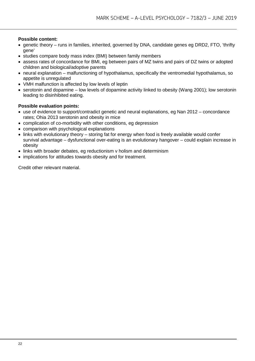#### **Possible content:**

- genetic theory runs in families, inherited, governed by DNA, candidate genes eg DRD2, FTO, 'thrifty gene'
- studies compare body mass index (BMI) between family members
- assess rates of concordance for BMI, eg between pairs of MZ twins and pairs of DZ twins or adopted children and biological/adoptive parents
- neural explanation malfunctioning of hypothalamus, specifically the ventromedial hypothalamus, so appetite is unregulated
- VMH malfunction is affected by low levels of leptin
- serotonin and dopamine low levels of dopamine activity linked to obesity (Wang 2001); low serotonin leading to disinhibited eating.

#### **Possible evaluation points:**

- use of evidence to support/contradict genetic and neural explanations, eg Nan 2012 concordance rates; Ohia 2013 serotonin and obesity in mice
- complication of co-morbidity with other conditions, eg depression
- comparison with psychological explanations
- links with evolutionary theory storing fat for energy when food is freely available would confer survival advantage – dysfunctional over-eating is an evolutionary hangover – could explain increase in obesity
- links with broader debates, eg reductionism v holism and determinism
- implications for attitudes towards obesity and for treatment.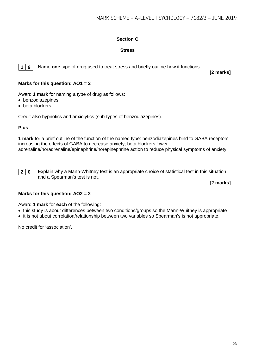#### **Section C**

#### **Stress**

**1 9** Name **one** type of drug used to treat stress and briefly outline how it functions.

**[2 marks]**

#### **Marks for this question: AO1 = 2**

Award **1 mark** for naming a type of drug as follows:

- benzodiazepines
- beta blockers.

Credit also hypnotics and anxiolytics (sub-types of benzodiazepines).

#### **Plus**

**1 mark** for a brief outline of the function of the named type: benzodiazepines bind to GABA receptors increasing the effects of GABA to decrease anxiety; beta blockers lower adrenaline/noradrenaline/epinephrine/norepinephrine action to reduce physical symptoms of anxiety.

**2 0** Explain why a Mann-Whitney test is an appropriate choice of statistical test in this situation and a Spearman's test is not.

**[2 marks]**

#### **Marks for this question: AO2 = 2**

Award **1 mark** for **each** of the following:

- this study is about differences between two conditions/groups so the Mann-Whitney is appropriate
- it is not about correlation/relationship between two variables so Spearman's is not appropriate.

No credit for 'association'.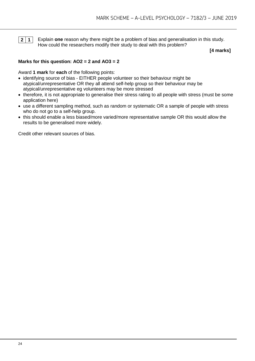

**2 1** Explain **one** reason why there might be a problem of bias and generalisation in this study. How could the researchers modify their study to deal with this problem?

**[4 marks]**

#### **Marks for this question: AO2 = 2 and AO3 = 2**

Award **1 mark** for **each** of the following points:

- identifying source of bias EITHER people volunteer so their behaviour might be atypical/unrepresentative OR they all attend self-help group so their behaviour may be atypical/unrepresentative eg volunteers may be more stressed
- therefore, it is not appropriate to generalise their stress rating to all people with stress (must be some application here)
- use a different sampling method, such as random or systematic OR a sample of people with stress who do not go to a self-help group.
- this should enable a less biased/more varied/more representative sample OR this would allow the results to be generalised more widely.

Credit other relevant sources of bias.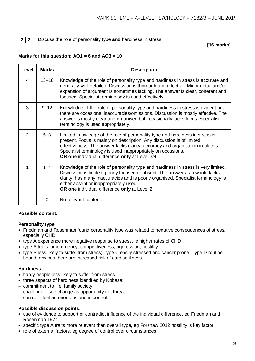**2 2** Discuss the role of personality type **and** hardiness in stress.

#### **[16 marks]**

#### **Marks for this question: AO1 = 6 and AO3 = 10**

| Level          | <b>Marks</b> | <b>Description</b>                                                                                                                                                                                                                                                                                                                                        |
|----------------|--------------|-----------------------------------------------------------------------------------------------------------------------------------------------------------------------------------------------------------------------------------------------------------------------------------------------------------------------------------------------------------|
| 4              | $13 - 16$    | Knowledge of the role of personality type and hardiness in stress is accurate and<br>generally well detailed. Discussion is thorough and effective. Minor detail and/or<br>expansion of argument is sometimes lacking. The answer is clear, coherent and<br>focused. Specialist terminology is used effectively.                                          |
| 3              | $9 - 12$     | Knowledge of the role of personality type and hardiness in stress is evident but<br>there are occasional inaccuracies/omissions. Discussion is mostly effective. The<br>answer is mostly clear and organised but occasionally lacks focus. Specialist<br>terminology is used appropriately.                                                               |
| $\overline{2}$ | $5 - 8$      | Limited knowledge of the role of personality type and hardiness in stress is<br>present. Focus is mainly on description. Any discussion is of limited<br>effectiveness. The answer lacks clarity, accuracy and organisation in places.<br>Specialist terminology is used inappropriately on occasions.<br>OR one individual difference only at Level 3/4. |
| 1              | $1 - 4$      | Knowledge of the role of personality type and hardiness in stress is very limited.<br>Discussion is limited, poorly focused or absent. The answer as a whole lacks<br>clarity, has many inaccuracies and is poorly organised. Specialist terminology is<br>either absent or inappropriately used.<br>OR one individual difference only at Level 2.        |
|                | 0            | No relevant content.                                                                                                                                                                                                                                                                                                                                      |

#### **Possible content:**

#### **Personality type**

- Friedman and Rosenman found personality type was related to negative consequences of stress, especially CHD
- type A experience more negative response to stress, ie higher rates of CHD
- type A traits: time urgency, competitiveness, aggression, hostility
- type B less likely to suffer from stress; Type C easily stressed and cancer prone; Type D routine bound, anxious therefore increased risk of cardiac illness.

#### **Hardiness**

- hardy people less likely to suffer from stress
- three aspects of hardiness identified by Kobasa:
- − commitment to life, family society
- − challenge see change as opportunity not threat
- − control feel autonomous and in control.

#### **Possible discussion points:**

- use of evidence to support or contradict influence of the individual difference, eg Friedman and Rosenman 1974
- specific type A traits more relevant than overall type, eg Forshaw 2012 hostility is key factor
- role of external factors, eg degree of control over circumstances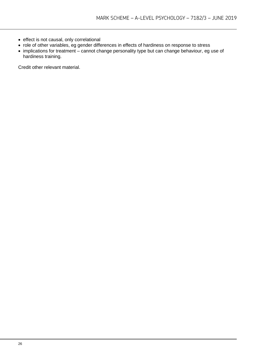- effect is not causal, only correlational
- role of other variables, eg gender differences in effects of hardiness on response to stress
- implications for treatment cannot change personality type but can change behaviour, eg use of hardiness training.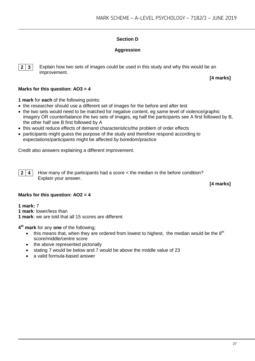#### **Section D**

#### **Aggression**

**2 3** Explain how two sets of images could be used in this study and why this would be an improvement.

**[4 marks]**

#### **Marks for this question: AO3 = 4**

**1 mark** for **each** of the following points:

- the researcher should use a different set of images for the before and after test
- the two sets would need to be matched for negative content, eg same level of violence/graphic imagery OR counterbalance the two sets of images, eg half the participants see A first followed by B, the other half see B first followed by A
- this would reduce effects of demand characteristics/the problem of order effects
- participants might guess the purpose of the study and therefore respond according to expectations/participants might be affected by boredom/practice

Credit also answers explaining a different improvement.

**2 4** How many of the participants had a score < the median in the before condition? Explain your answer.

**[4 marks]**

#### **Marks for this question: AO2 = 4**

**1 mark:** 7

**1 mark**: lower/less than

**1 mark**: we are told that all 15 scores are different

**4th mark** for any **one** of the following;

- this means that, when they are ordered from lowest to highest, the median would be the  $8<sup>th</sup>$ score/middle/centre score
- the above represented pictorially
- stating 7 would be below and 7 would be above the middle value of 23
- a valid formula-based answer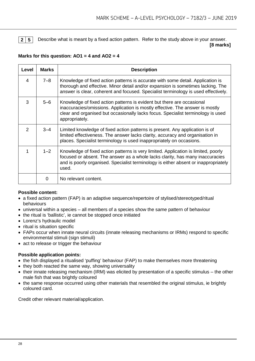**2 5** Describe what is meant by a fixed action pattern. Refer to the study above in your answer.

#### **[8 marks]**

#### **Marks for this question: AO1 = 4 and AO2 = 4**

| Level         | <b>Marks</b> | <b>Description</b>                                                                                                                                                                                                                                                  |
|---------------|--------------|---------------------------------------------------------------------------------------------------------------------------------------------------------------------------------------------------------------------------------------------------------------------|
| 4             | 7–8          | Knowledge of fixed action patterns is accurate with some detail. Application is<br>thorough and effective. Minor detail and/or expansion is sometimes lacking. The<br>answer is clear, coherent and focused. Specialist terminology is used effectively.            |
| 3             | $5 - 6$      | Knowledge of fixed action patterns is evident but there are occasional<br>inaccuracies/omissions. Application is mostly effective. The answer is mostly<br>clear and organised but occasionally lacks focus. Specialist terminology is used<br>appropriately.       |
| $\mathcal{P}$ | $3 - 4$      | Limited knowledge of fixed action patterns is present. Any application is of<br>limited effectiveness. The answer lacks clarity, accuracy and organisation in<br>places. Specialist terminology is used inappropriately on occasions.                               |
|               | $1 - 2$      | Knowledge of fixed action patterns is very limited. Application is limited, poorly<br>focused or absent. The answer as a whole lacks clarity, has many inaccuracies<br>and is poorly organised. Specialist terminology is either absent or inappropriately<br>used. |
|               | O            | No relevant content.                                                                                                                                                                                                                                                |

#### **Possible content:**

- a fixed action pattern (FAP) is an adaptive sequence/repertoire of stylised/stereotyped/ritual behaviours
- universal within a species all members of a species show the same pattern of behaviour
- the ritual is 'ballistic', ie cannot be stopped once initiated
- Lorenz's hydraulic model
- ritual is situation specific
- FAPs occur when innate neural circuits (innate releasing mechanisms or IRMs) respond to specific environmental stimuli (sign stimuli)
- act to release or trigger the behaviour

#### **Possible application points:**

- the fish displayed a ritualised 'puffing' behaviour (FAP) to make themselves more threatening
- they both reacted the same way, showing universality
- their innate releasing mechanism (IRM) was elicited by presentation of a specific stimulus the other male fish that was brightly coloured
- the same response occurred using other materials that resembled the original stimulus, ie brightly coloured card.

Credit other relevant material/application.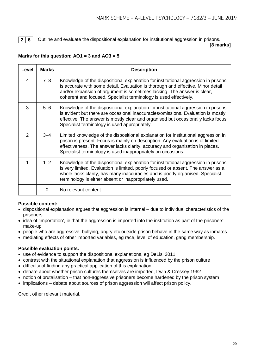**2 6** Outline and evaluate the dispositional explanation for institutional aggression in prisons.

**[8 marks]**

#### **Marks for this question: AO1 = 3 and AO3 = 5**

| Level          | <b>Marks</b> | <b>Description</b>                                                                                                                                                                                                                                                                                                     |
|----------------|--------------|------------------------------------------------------------------------------------------------------------------------------------------------------------------------------------------------------------------------------------------------------------------------------------------------------------------------|
| 4              | $7 - 8$      | Knowledge of the dispositional explanation for institutional aggression in prisons<br>is accurate with some detail. Evaluation is thorough and effective. Minor detail<br>and/or expansion of argument is sometimes lacking. The answer is clear,<br>coherent and focused. Specialist terminology is used effectively. |
| 3              | $5 - 6$      | Knowledge of the dispositional explanation for institutional aggression in prisons<br>is evident but there are occasional inaccuracies/omissions. Evaluation is mostly<br>effective. The answer is mostly clear and organised but occasionally lacks focus.<br>Specialist terminology is used appropriately.           |
| $\overline{2}$ | $3 - 4$      | Limited knowledge of the dispositional explanation for institutional aggression in<br>prison is present. Focus is mainly on description. Any evaluation is of limited<br>effectiveness. The answer lacks clarity, accuracy and organisation in places.<br>Specialist terminology is used inappropriately on occasions. |
| 1              | $1 - 2$      | Knowledge of the dispositional explanation for institutional aggression in prisons<br>is very limited. Evaluation is limited, poorly focused or absent. The answer as a<br>whole lacks clarity, has many inaccuracies and is poorly organised. Specialist<br>terminology is either absent or inappropriately used.     |
|                | 0            | No relevant content.                                                                                                                                                                                                                                                                                                   |

#### **Possible content:**

- dispositional explanation argues that aggression is internal due to individual characteristics of the prisoners
- idea of 'importation', ie that the aggression is imported into the institution as part of the prisoners' make-up
- people who are aggressive, bullying, angry etc outside prison behave in the same way as inmates
- mediating effects of other imported variables, eg race, level of education, gang membership.

#### **Possible evaluation points:**

- use of evidence to support the dispositional explanations, eg DeLisi 2011
- contrast with the situational explanation that aggression is influenced by the prison culture
- difficulty of finding any practical application of this explanation
- debate about whether prison cultures themselves are imported, Irwin & Cressey 1962
- notion of brutalisation that non-aggressive prisoners become hardened by the prison system
- implications debate about sources of prison aggression will affect prison policy.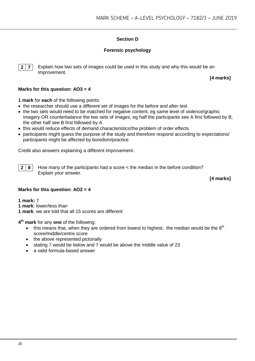#### **Section D**

#### **Forensic psychology**

**2 7** Explain how two sets of images could be used in this study and why this would be an improvement.

**[4 marks]**

#### **Marks for this question: AO3 = 4**

**1 mark** for **each** of the following points:

- the researcher should use a different set of images for the before and after test
- the two sets would need to be matched for negative content, eg same level of violence/graphic imagery OR counterbalance the two sets of images, eg half the participants see A first followed by B, the other half see B first followed by A
- this would reduce effects of demand characteristics/the problem of order effects
- participants might guess the purpose of the study and therefore respond according to expectations/ participants might be affected by boredom/practice

Credit also answers explaining a different improvement.

**2 8** How many of the participants had a score < the median in the before condition? Explain your answer.

**[4 marks]**

#### **Marks for this question: AO2 = 4**

**1 mark:** 7

**1 mark**: lower/less than

**1 mark**: we are told that all 15 scores are different

**4th mark** for any **one** of the following;

- this means that, when they are ordered from lowest to highest, the median would be the  $8<sup>th</sup>$ score/middle/centre score
- the above represented pictorially
- stating 7 would be below and 7 would be above the middle value of 23
- a valid formula-based answer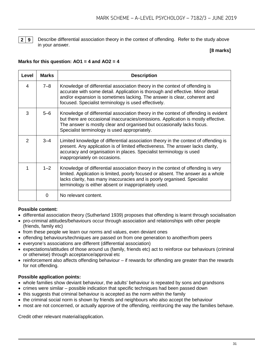**2 9** Describe differential association theory in the context of offending. Refer to the study above in your answer.

#### **[8 marks]**

#### **Marks for this question: AO1 = 4 and AO2 = 4**

| Level         | <b>Marks</b> | <b>Description</b>                                                                                                                                                                                                                                                                                        |
|---------------|--------------|-----------------------------------------------------------------------------------------------------------------------------------------------------------------------------------------------------------------------------------------------------------------------------------------------------------|
| 4             | $7 - 8$      | Knowledge of differential association theory in the context of offending is<br>accurate with some detail. Application is thorough and effective. Minor detail<br>and/or expansion is sometimes lacking. The answer is clear, coherent and<br>focused. Specialist terminology is used effectively.         |
| 3             | $5 - 6$      | Knowledge of differential association theory in the context of offending is evident<br>but there are occasional inaccuracies/omissions. Application is mostly effective.<br>The answer is mostly clear and organised but occasionally lacks focus.<br>Specialist terminology is used appropriately.       |
| $\mathcal{P}$ | 3–4          | Limited knowledge of differential association theory in the context of offending is<br>present. Any application is of limited effectiveness. The answer lacks clarity,<br>accuracy and organisation in places. Specialist terminology is used<br>inappropriately on occasions.                            |
|               | $1 - 2$      | Knowledge of differential association theory in the context of offending is very<br>limited. Application is limited, poorly focused or absent. The answer as a whole<br>lacks clarity, has many inaccuracies and is poorly organised. Specialist<br>terminology is either absent or inappropriately used. |
|               | 0            | No relevant content.                                                                                                                                                                                                                                                                                      |

#### **Possible content:**

- differential association theory (Sutherland 1939) proposes that offending is learnt through socialisation
- pro-criminal attitudes/behaviours occur through association and relationships with other people (friends, family etc)
- from these people we learn our norms and values, even deviant ones
- offending behaviours/techniques are passed on from one generation to another/from peers
- everyone's associations are different (differential association)
- expectations/attitudes of those around us (family, friends etc) act to reinforce our behaviours (criminal or otherwise) through acceptance/approval etc
- reinforcement also affects offending behaviour if rewards for offending are greater than the rewards for not offending.

#### **Possible application points:**

- whole families show deviant behaviour, the adults' behaviour is repeated by sons and grandsons
- crimes were similar possible indication that specific techniques had been passed down
- this suggests that criminal behaviour is accepted as the norm within the family
- the criminal social norm is shown by friends and neighbours who also accept the behaviour
- most are not concerned, or actually approve of the offending, reinforcing the way the families behave.

Credit other relevant material/application.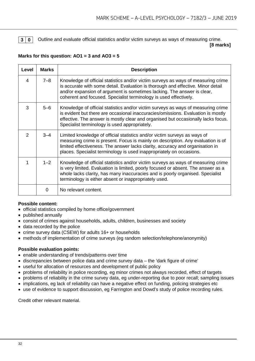**3 0** Outline and evaluate official statistics and/or victim surveys as ways of measuring crime.

**[8 marks]**

#### **Marks for this question: AO1 = 3 and AO3 = 5**

| Level          | <b>Marks</b> | <b>Description</b>                                                                                                                                                                                                                                                                                                     |
|----------------|--------------|------------------------------------------------------------------------------------------------------------------------------------------------------------------------------------------------------------------------------------------------------------------------------------------------------------------------|
| 4              | $7 - 8$      | Knowledge of official statistics and/or victim surveys as ways of measuring crime<br>is accurate with some detail. Evaluation is thorough and effective. Minor detail<br>and/or expansion of argument is sometimes lacking. The answer is clear,<br>coherent and focused. Specialist terminology is used effectively.  |
| 3              | $5 - 6$      | Knowledge of official statistics and/or victim surveys as ways of measuring crime<br>is evident but there are occasional inaccuracies/omissions. Evaluation is mostly<br>effective. The answer is mostly clear and organised but occasionally lacks focus.<br>Specialist terminology is used appropriately.            |
| $\mathfrak{p}$ | $3 - 4$      | Limited knowledge of official statistics and/or victim surveys as ways of<br>measuring crime is present. Focus is mainly on description. Any evaluation is of<br>limited effectiveness. The answer lacks clarity, accuracy and organisation in<br>places. Specialist terminology is used inappropriately on occasions. |
| 1              | $1 - 2$      | Knowledge of official statistics and/or victim surveys as ways of measuring crime<br>is very limited. Evaluation is limited, poorly focused or absent. The answer as a<br>whole lacks clarity, has many inaccuracies and is poorly organised. Specialist<br>terminology is either absent or inappropriately used.      |
|                | 0            | No relevant content.                                                                                                                                                                                                                                                                                                   |

#### **Possible content:**

- official statistics compiled by home office/government
- published annually
- consist of crimes against households, adults, children, businesses and society
- data recorded by the police
- crime survey data (CSEW) for adults 16+ or households
- methods of implementation of crime surveys (eg random selection/telephone/anonymity)

#### **Possible evaluation points:**

- enable understanding of trends/patterns over time
- discrepancies between police data and crime survey data the 'dark figure of crime'
- useful for allocation of resources and development of public policy
- problems of reliability in police recording, eg minor crimes not always recorded, effect of targets
- problems of reliability in the crime survey data, eg under-reporting due to poor recall; sampling issues
- implications, eg lack of reliability can have a negative effect on funding, policing strategies etc
- use of evidence to support discussion, eg Farrington and Dowd's study of police recording rules.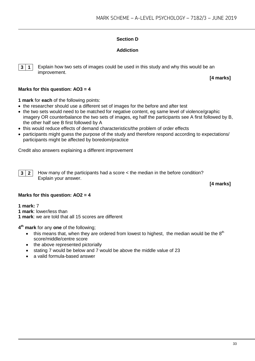#### **Section D**

#### **Addiction**



**3 1** Explain how two sets of images could be used in this study and why this would be an improvement.

**[4 marks]**

#### **Marks for this question: AO3 = 4**

**1 mark** for **each** of the following points:

- the researcher should use a different set of images for the before and after test
- the two sets would need to be matched for negative content, eg same level of violence/graphic imagery OR counterbalance the two sets of images, eg half the participants see A first followed by B, the other half see B first followed by A
- this would reduce effects of demand characteristics/the problem of order effects
- participants might guess the purpose of the study and therefore respond according to expectations/ participants might be affected by boredom/practice

Credit also answers explaining a different improvement

**3 2** How many of the participants had a score < the median in the before condition? Explain your answer.

**[4 marks]**

#### **Marks for this question: AO2 = 4**

**1 mark:** 7

**1 mark**: lower/less than

**1 mark**: we are told that all 15 scores are different

**4th mark** for any **one** of the following;

- this means that, when they are ordered from lowest to highest, the median would be the  $8<sup>th</sup>$ score/middle/centre score
- the above represented pictorially
- stating 7 would be below and 7 would be above the middle value of 23
- a valid formula-based answer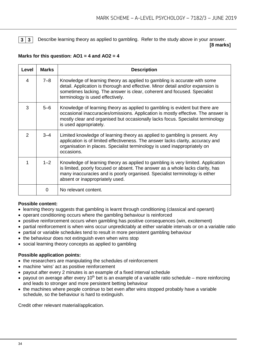

**3 3** Describe learning theory as applied to gambling. Refer to the study above in your answer.

**[8 marks]**

#### **Marks for this question: AO1 = 4 and AO2 = 4**

| Level         | <b>Marks</b> | <b>Description</b>                                                                                                                                                                                                                                                                   |
|---------------|--------------|--------------------------------------------------------------------------------------------------------------------------------------------------------------------------------------------------------------------------------------------------------------------------------------|
| 4             | $7 - 8$      | Knowledge of learning theory as applied to gambling is accurate with some<br>detail. Application is thorough and effective. Minor detail and/or expansion is<br>sometimes lacking. The answer is clear, coherent and focused. Specialist<br>terminology is used effectively.         |
| 3             | $5 - 6$      | Knowledge of learning theory as applied to gambling is evident but there are<br>occasional inaccuracies/omissions. Application is mostly effective. The answer is<br>mostly clear and organised but occasionally lacks focus. Specialist terminology<br>is used appropriately.       |
| $\mathcal{P}$ | $3 - 4$      | Limited knowledge of learning theory as applied to gambling is present. Any<br>application is of limited effectiveness. The answer lacks clarity, accuracy and<br>organisation in places. Specialist terminology is used inappropriately on<br>occasions.                            |
| 1             | $1 - 2$      | Knowledge of learning theory as applied to gambling is very limited. Application<br>is limited, poorly focused or absent. The answer as a whole lacks clarity, has<br>many inaccuracies and is poorly organised. Specialist terminology is either<br>absent or inappropriately used. |
|               | 0            | No relevant content.                                                                                                                                                                                                                                                                 |

#### **Possible content:**

- learning theory suggests that gambling is learnt through conditioning (classical and operant)
- operant conditioning occurs where the gambling behaviour is reinforced
- positive reinforcement occurs when gambling has positive consequences (win, excitement)
- partial reinforcement is when wins occur unpredictably at either variable intervals or on a variable ratio
- partial or variable schedules tend to result in more persistent gambling behaviour
- the behaviour does not extinguish even when wins stop
- social learning theory concepts as applied to gambling

#### **Possible application points:**

- the researchers are manipulating the schedules of reinforcement
- machine 'wins' act as positive reinforcement
- payout after every 2 minutes is an example of a fixed interval schedule
- payout on average after every 10<sup>th</sup> bet is an example of a variable ratio schedule more reinforcing and leads to stronger and more persistent betting behaviour
- the machines where people continue to bet even after wins stopped probably have a variable schedule, so the behaviour is hard to extinguish.

Credit other relevant material/application.